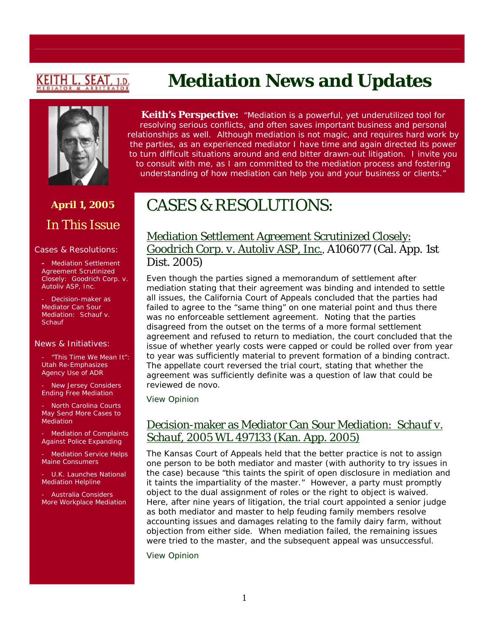# <u>KEITH L. SEAT</u>

# **Mediation News and Updates**



# **April 1, 2005**  In This Issue

#### Cases & Resolutions:

**-** Mediation Settlement Agreement Scrutinized Closely: *Goodrich Corp. v. Autoliv ASP, Inc*.

Decision-maker as Mediator Can Sour Mediation: *Schauf v. Schauf*

#### News & Initiatives:

- "This Time We Mean It": Utah Re-Emphasizes Agency Use of ADR

New Jersey Considers Ending Free Mediation

North Carolina Courts May Send More Cases to Mediation

Mediation of Complaints Against Police Expanding

Mediation Service Helps Maine Consumers

U.K. Launches National Mediation Helpline

- Australia Considers More Workplace Mediation

**Keith's Perspective:** *"Mediation is a powerful, yet underutilized tool for resolving serious conflicts, and often saves important business and personal relationships as well. Although mediation is not magic, and requires hard work by the parties, as an experienced mediator I have time and again directed its power to turn difficult situations around and end bitter drawn-out litigation. I invite you to consult with me, as I am committed to the mediation process and fostering understanding of how mediation can help you and your business or clients."*

# CASES & RESOLUTIONS:

#### Mediation Settlement Agreement Scrutinized Closely: *Goodrich Corp. v. Autoliv ASP, Inc.*, A106077 (Cal. App. 1st Dist. 2005)

Even though the parties signed a memorandum of settlement after mediation stating that their agreement was binding and intended to settle all issues, the California Court of Appeals concluded that the parties had failed to agree to the "same thing" on one material point and thus there was no enforceable settlement agreement. Noting that the parties disagreed from the outset on the terms of a more formal settlement agreement and refused to return to mediation, the court concluded that the issue of whether yearly costs were capped or could be rolled over from year to year was sufficiently material to prevent formation of a binding contract. The appellate court reversed the trial court, stating that whether the agreement was sufficiently definite was a question of law that could be reviewed de novo.

[View Opinion](http://www.courtinfo.ca.gov/opinions/nonpub/A106077.DOC)

### Decision-maker as Mediator Can Sour Mediation: *Schauf v. Schauf*, 2005 WL 497133 (Kan. App. 2005)

The Kansas Court of Appeals held that the better practice is not to assign one person to be both mediator and master (with authority to try issues in the case) because "this taints the spirit of open disclosure in mediation and it taints the impartiality of the master." However, a party must promptly object to the dual assignment of roles or the right to object is waived. Here, after nine years of litigation, the trial court appointed a senior judge as both mediator and master to help feuding family members resolve accounting issues and damages relating to the family dairy farm, without objection from either side. When mediation failed, the remaining issues were tried to the master, and the subsequent appeal was unsuccessful.

[View Opinion](http://caselaw.lp.findlaw.com/scripts/getcase.pl?court=ks&vol=ctapp/2005/20050304/&invol=91783)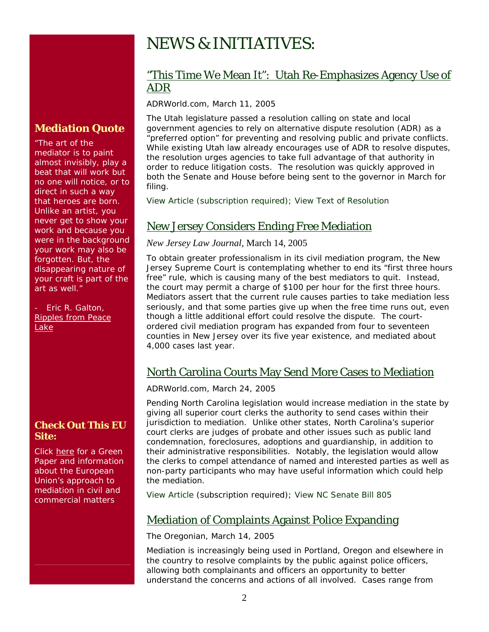# NEWS & INITIATIVES:

#### "This Time We Mean It": Utah Re-Emphasizes Agency Use of ADR

*ADRWorld.com*, March 11, 2005

The Utah legislature passed a resolution calling on state and local government agencies to rely on alternative dispute resolution (ADR) as a "preferred option" for preventing and resolving public and private conflicts. While existing Utah law already encourages use of ADR to resolve disputes, the resolution urges agencies to take full advantage of that authority in order to reduce litigation costs. The resolution was quickly approved in both the Senate and House before being sent to the governor in March for filing.

[View Article](http://www.adrworld.com/sp.asp) (subscription required); [View Text of Resolution](http://www.adrworld.com/si.asp?id=1715)

### New Jersey Considers Ending Free Mediation

#### *New Jersey Law Journal,* March 14, 2005

To obtain greater professionalism in its civil mediation program, the New Jersey Supreme Court is contemplating whether to end its "first three hours free" rule, which is causing many of the best mediators to quit. Instead, the court may permit a charge of \$100 per hour for the first three hours. Mediators assert that the current rule causes parties to take mediation less seriously, and that some parties give up when the free time runs out, even though a little additional effort could resolve the dispute. The courtordered civil mediation program has expanded from four to seventeen counties in New Jersey over its five year existence, and mediated about 4,000 cases last year.

### North Carolina Courts May Send More Cases to Mediation

*ADRWorld.com,* March 24, 2005

Pending North Carolina legislation would increase mediation in the state by giving all superior court clerks the authority to send cases within their jurisdiction to mediation. Unlike other states, North Carolina's superior court clerks are judges of probate and other issues such as public land condemnation, foreclosures, adoptions and guardianship, in addition to their administrative responsibilities. Notably, the legislation would allow the clerks to compel attendance of named and interested parties as well as non-party participants who may have useful information which could help the mediation.

[View Article](http://www.adrworld.com/sp.asp?id=38176) (subscription required); [View NC Senate Bill 805](http://www.adrworld.com/si.asp?id=1732)

### Mediation of Complaints Against Police Expanding

*The Oregonian,* March 14, 2005

Mediation is increasingly being used in Portland, Oregon and elsewhere in the country to resolve complaints by the public against police officers, allowing both complainants and officers an opportunity to better understand the concerns and actions of all involved. Cases range from

#### **Check Out This EU Site:**

**Mediation Quote**

The art of the mediator is to paint almost invisibly, play a beat that will work but no one will notice, or to direct in such a way that heroes are born. Unlike an artist, you never get to show your work and because you were in the background your work may also be forgotten. But, the disappearing nature of your craft is part of the

art as well."

Lake

Eric R. Galton. Ripples from Peace

[Click here for a Green](http://www.europa.eu.int/comm/justice_home/ejn/adr/adr_ec_en.htm)  [Paper and information](http://www.europa.eu.int/comm/justice_home/ejn/adr/adr_ec_en.htm)  [about the European](http://www.europa.eu.int/comm/justice_home/ejn/adr/adr_ec_en.htm)  [Union's approach to](http://www.europa.eu.int/comm/justice_home/ejn/adr/adr_ec_en.htm)  [mediation in civil and](http://www.europa.eu.int/comm/justice_home/ejn/adr/adr_ec_en.htm)  [commercial matters](http://www.europa.eu.int/comm/justice_home/ejn/adr/adr_ec_en.htm)